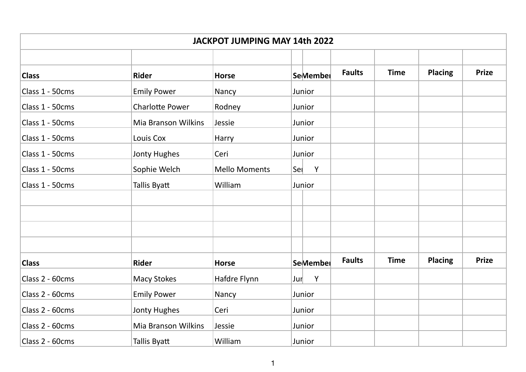| <b>JACKPOT JUMPING MAY 14th 2022</b> |                            |                      |          |               |             |                |              |  |  |
|--------------------------------------|----------------------------|----------------------|----------|---------------|-------------|----------------|--------------|--|--|
| <b>Class</b>                         | <b>Rider</b>               | <b>Horse</b>         | SeMember | <b>Faults</b> | <b>Time</b> | <b>Placing</b> | <b>Prize</b> |  |  |
| Class 1 - 50cms                      | <b>Emily Power</b>         | Nancy                | Junior   |               |             |                |              |  |  |
| Class 1 - 50cms                      | <b>Charlotte Power</b>     | Rodney               | Junior   |               |             |                |              |  |  |
| Class 1 - 50cms                      | Mia Branson Wilkins        | Jessie               | Junior   |               |             |                |              |  |  |
| Class 1 - 50cms                      | Louis Cox                  | Harry                | Junior   |               |             |                |              |  |  |
| Class 1 - 50cms                      | Jonty Hughes               | Ceri                 | Junior   |               |             |                |              |  |  |
| Class 1 - 50cms                      | Sophie Welch               | <b>Mello Moments</b> | Sel<br>Y |               |             |                |              |  |  |
| Class 1 - 50cms                      | Tallis Byatt               | William              | Junior   |               |             |                |              |  |  |
|                                      |                            |                      |          |               |             |                |              |  |  |
|                                      |                            |                      |          |               |             |                |              |  |  |
|                                      |                            |                      |          |               |             |                |              |  |  |
|                                      |                            |                      |          |               |             |                |              |  |  |
| <b>Class</b>                         | <b>Rider</b>               | <b>Horse</b>         | SeMember | <b>Faults</b> | <b>Time</b> | <b>Placing</b> | <b>Prize</b> |  |  |
| Class 2 - 60cms                      | <b>Macy Stokes</b>         | Hafdre Flynn         | Y<br>Jur |               |             |                |              |  |  |
| Class 2 - 60cms                      | <b>Emily Power</b>         | Nancy                | Junior   |               |             |                |              |  |  |
| Class 2 - 60cms                      | <b>Jonty Hughes</b>        | Ceri                 | Junior   |               |             |                |              |  |  |
| Class 2 - 60cms                      | <b>Mia Branson Wilkins</b> | Jessie               | Junior   |               |             |                |              |  |  |
| Class 2 - 60cms                      | Tallis Byatt               | William              | Junior   |               |             |                |              |  |  |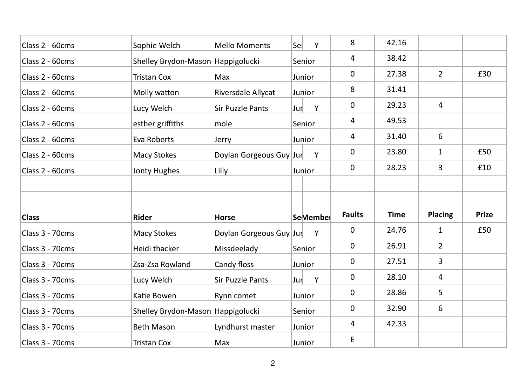| Class 2 - 60cms | Sophie Welch                                           | <b>Mello Moments</b>    | Sel<br>Y | 8              | 42.16       |                |              |
|-----------------|--------------------------------------------------------|-------------------------|----------|----------------|-------------|----------------|--------------|
| Class 2 - 60cms | Shelley Brydon-Mason Happigolucki                      |                         | Senior   | 4              | 38.42       |                |              |
| Class 2 - 60cms | <b>Tristan Cox</b>                                     | Max                     | Junior   | 0              | 27.38       | $\overline{2}$ | £30          |
| Class 2 - 60cms | Molly watton                                           | Riversdale Allycat      | Junior   | 8              | 31.41       |                |              |
| Class 2 - 60cms | Lucy Welch                                             | <b>Sir Puzzle Pants</b> | Y<br>Jur | 0              | 29.23       | $\overline{4}$ |              |
| Class 2 - 60cms | esther griffiths                                       | mole                    | Senior   | 4              | 49.53       |                |              |
| Class 2 - 60cms | Eva Roberts                                            | Jerry                   | Junior   | $\overline{4}$ | 31.40       | 6              |              |
| Class 2 - 60cms | <b>Macy Stokes</b>                                     | Doylan Gorgeous Guy Jur | Y        | 0              | 23.80       | $\mathbf{1}$   | £50          |
| Class 2 - 60cms | Jonty Hughes                                           | Lilly                   | Junior   | 0              | 28.23       | 3              | £10          |
|                 |                                                        |                         |          |                |             |                |              |
|                 |                                                        |                         |          |                |             |                |              |
| <b>Class</b>    | <b>Rider</b>                                           | <b>Horse</b>            | SeMember | <b>Faults</b>  | <b>Time</b> | <b>Placing</b> | <b>Prize</b> |
| Class 3 - 70cms | <b>Macy Stokes</b>                                     | Doylan Gorgeous Guy Jur | Y        | 0              | 24.76       | $\mathbf{1}$   | £50          |
| Class 3 - 70cms | Heidi thacker                                          | Missdeelady             | Senior   | 0              | 26.91       | $\overline{2}$ |              |
| Class 3 - 70cms | Zsa-Zsa Rowland                                        | Candy floss             | Junior   | 0              | 27.51       | 3              |              |
| Class 3 - 70cms |                                                        |                         |          | 0              | 28.10       | $\overline{4}$ |              |
|                 |                                                        | <b>Sir Puzzle Pants</b> | Y<br>Jur |                |             |                |              |
| Class 3 - 70cms | Lucy Welch<br>Katie Bowen                              | Rynn comet              | Junior   | 0              | 28.86       | 5              |              |
| Class 3 - 70cms |                                                        |                         | Senior   | 0              | 32.90       | 6              |              |
| Class 3 - 70cms | Shelley Brydon-Mason Happigolucki<br><b>Beth Mason</b> | Lyndhurst master        | Junior   | $\overline{4}$ | 42.33       |                |              |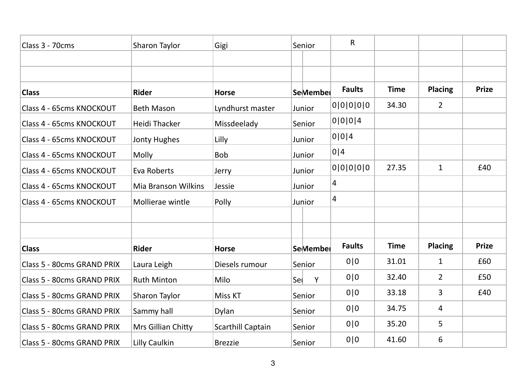| Class 3 - 70cms            | Sharon Taylor              | Gigi                     | Senior          | $\mathsf{R}$   |             |                |              |
|----------------------------|----------------------------|--------------------------|-----------------|----------------|-------------|----------------|--------------|
|                            |                            |                          |                 |                |             |                |              |
|                            |                            |                          |                 |                |             |                |              |
| <b>Class</b>               | <b>Rider</b>               | <b>Horse</b>             | SeMember        | <b>Faults</b>  | <b>Time</b> | <b>Placing</b> | <b>Prize</b> |
| Class 4 - 65cms KNOCKOUT   | <b>Beth Mason</b>          | Lyndhurst master         | Junior          | 0 0 0 0 0      | 34.30       | $\overline{2}$ |              |
| Class 4 - 65cms KNOCKOUT   | Heidi Thacker              | Missdeelady              | Senior          | 0 0 0 4        |             |                |              |
| Class 4 - 65cms KNOCKOUT   | <b>Jonty Hughes</b>        | Lilly                    | Junior          | 0 0 4          |             |                |              |
| Class 4 - 65cms KNOCKOUT   | Molly                      | <b>Bob</b>               | Junior          | 0 4            |             |                |              |
| Class 4 - 65cms KNOCKOUT   | Eva Roberts                | Jerry                    | Junior          | 0 0 0 0 0      | 27.35       | $\mathbf{1}$   | £40          |
| Class 4 - 65cms KNOCKOUT   | <b>Mia Branson Wilkins</b> | Jessie                   | Junior          | 4              |             |                |              |
| Class 4 - 65cms KNOCKOUT   | Mollierae wintle           | Polly                    | Junior          | $\overline{4}$ |             |                |              |
|                            |                            |                          |                 |                |             |                |              |
|                            |                            |                          |                 |                |             |                |              |
| <b>Class</b>               | <b>Rider</b>               | <b>Horse</b>             | <b>SeMember</b> | <b>Faults</b>  | <b>Time</b> | <b>Placing</b> | <b>Prize</b> |
| Class 5 - 80cms GRAND PRIX | Laura Leigh                | Diesels rumour           | Senior          | 0 0            | 31.01       | $\mathbf{1}$   | £60          |
| Class 5 - 80cms GRAND PRIX | <b>Ruth Minton</b>         | Milo                     | Sel<br>Y        | 0 0            | 32.40       | $\overline{2}$ | £50          |
| Class 5 - 80cms GRAND PRIX | <b>Sharon Taylor</b>       | <b>Miss KT</b>           | Senior          | 0 0            | 33.18       | 3              | £40          |
| Class 5 - 80cms GRAND PRIX | Sammy hall                 | Dylan                    | Senior          | 0 0            | 34.75       | 4              |              |
| Class 5 - 80cms GRAND PRIX | Mrs Gillian Chitty         | <b>Scarthill Captain</b> | Senior          | 0 0            | 35.20       | 5              |              |
| Class 5 - 80cms GRAND PRIX | Lilly Caulkin              | <b>Brezzie</b>           | Senior          | 0 0            | 41.60       | 6              |              |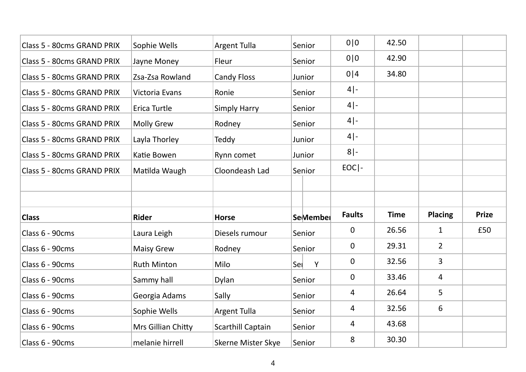| Class 5 - 80cms GRAND PRIX | Sophie Wells       | <b>Argent Tulla</b>      | Senior   | 0 0           | 42.50       |                |              |
|----------------------------|--------------------|--------------------------|----------|---------------|-------------|----------------|--------------|
| Class 5 - 80cms GRAND PRIX | Jayne Money        | Fleur                    | Senior   | 0 0           | 42.90       |                |              |
| Class 5 - 80cms GRAND PRIX | Zsa-Zsa Rowland    | <b>Candy Floss</b>       | Junior   | 0 4           | 34.80       |                |              |
| Class 5 - 80cms GRAND PRIX | Victoria Evans     | Ronie                    | Senior   | $4$ -         |             |                |              |
| Class 5 - 80cms GRAND PRIX | Erica Turtle       | <b>Simply Harry</b>      | Senior   | $4$ -         |             |                |              |
| Class 5 - 80cms GRAND PRIX | <b>Molly Grew</b>  | Rodney                   | Senior   | $4$ -         |             |                |              |
| Class 5 - 80cms GRAND PRIX | Layla Thorley      | Teddy                    | Junior   | $4$ -         |             |                |              |
| Class 5 - 80cms GRAND PRIX | Katie Bowen        | Rynn comet               | Junior   | $8$  -        |             |                |              |
| Class 5 - 80cms GRAND PRIX | Matilda Waugh      | Cloondeash Lad           | Senior   | $EOC$   -     |             |                |              |
|                            |                    |                          |          |               |             |                |              |
| <b>Class</b>               | <b>Rider</b>       | <b>Horse</b>             | SeMember | <b>Faults</b> | <b>Time</b> | <b>Placing</b> | <b>Prize</b> |
| Class 6 - 90cms            | Laura Leigh        | Diesels rumour           | Senior   | 0             | 26.56       | $\mathbf{1}$   | £50          |
| Class 6 - 90cms            | <b>Maisy Grew</b>  | Rodney                   | Senior   | 0             | 29.31       | $\overline{2}$ |              |
| Class 6 - 90cms            | <b>Ruth Minton</b> | Milo                     | Sel<br>Y | 0             | 32.56       | 3              |              |
| Class 6 - 90cms            | Sammy hall         | Dylan                    | Senior   | 0             | 33.46       | 4              |              |
| Class 6 - 90cms            | Georgia Adams      | Sally                    | Senior   | 4             | 26.64       | 5              |              |
| Class 6 - 90cms            | Sophie Wells       | <b>Argent Tulla</b>      | Senior   | 4             | 32.56       | 6              |              |
| Class 6 - 90cms            |                    |                          |          | 4             | 43.68       |                |              |
|                            | Mrs Gillian Chitty | <b>Scarthill Captain</b> | Senior   |               |             |                |              |